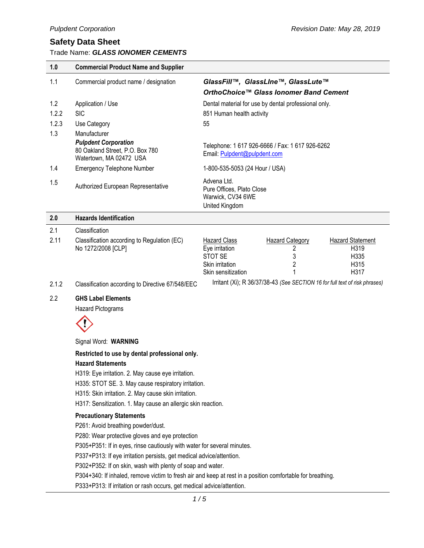Trade Name: *GLASS IONOMER CEMENTS*

| Trade Name: GLASS IONOMER CEMENTS |                                                                                                                                                                                                                                                                                                                                                                                          |                                                                                                                                                                                                            |  |  |
|-----------------------------------|------------------------------------------------------------------------------------------------------------------------------------------------------------------------------------------------------------------------------------------------------------------------------------------------------------------------------------------------------------------------------------------|------------------------------------------------------------------------------------------------------------------------------------------------------------------------------------------------------------|--|--|
| 1.0                               | <b>Commercial Product Name and Supplier</b>                                                                                                                                                                                                                                                                                                                                              |                                                                                                                                                                                                            |  |  |
| 1.1                               | Commercial product name / designation                                                                                                                                                                                                                                                                                                                                                    | GlassFill™, GlassLIne™, GlassLute™                                                                                                                                                                         |  |  |
|                                   |                                                                                                                                                                                                                                                                                                                                                                                          | OrthoChoice™ Glass Ionomer Band Cement                                                                                                                                                                     |  |  |
| 1.2                               | Application / Use                                                                                                                                                                                                                                                                                                                                                                        | Dental material for use by dental professional only.                                                                                                                                                       |  |  |
| 1.2.2                             | <b>SIC</b>                                                                                                                                                                                                                                                                                                                                                                               | 851 Human health activity                                                                                                                                                                                  |  |  |
| 1.2.3                             | Use Category                                                                                                                                                                                                                                                                                                                                                                             | 55                                                                                                                                                                                                         |  |  |
| 1.3                               | Manufacturer<br><b>Pulpdent Corporation</b><br>80 Oakland Street, P.O. Box 780<br>Watertown, MA 02472 USA                                                                                                                                                                                                                                                                                | Telephone: 1 617 926-6666 / Fax: 1 617 926-6262<br>Email: Pulpdent@pulpdent.com                                                                                                                            |  |  |
| 1.4                               | <b>Emergency Telephone Number</b>                                                                                                                                                                                                                                                                                                                                                        | 1-800-535-5053 (24 Hour / USA)                                                                                                                                                                             |  |  |
| 1.5                               | Authorized European Representative                                                                                                                                                                                                                                                                                                                                                       | Advena Ltd.<br>Pure Offices, Plato Close<br>Warwick, CV34 6WE<br>United Kingdom                                                                                                                            |  |  |
| 2.0                               | <b>Hazards Identification</b>                                                                                                                                                                                                                                                                                                                                                            |                                                                                                                                                                                                            |  |  |
| 2.1                               | Classification                                                                                                                                                                                                                                                                                                                                                                           |                                                                                                                                                                                                            |  |  |
| 2.11                              | Classification according to Regulation (EC)<br>No 1272/2008 [CLP]                                                                                                                                                                                                                                                                                                                        | <b>Hazard Category</b><br><b>Hazard Statement</b><br><b>Hazard Class</b><br>H319<br>Eye irritation<br>2<br>STOT SE<br>3<br>H335<br>$\overline{c}$<br>Skin irritation<br>H315<br>H317<br>Skin sensitization |  |  |
| 2.1.2                             | Classification according to Directive 67/548/EEC                                                                                                                                                                                                                                                                                                                                         | Irritant (Xi); R 36/37/38-43 (See SECTION 16 for full text of risk phrases)                                                                                                                                |  |  |
| 2.2                               | <b>GHS Label Elements</b><br><b>Hazard Pictograms</b>                                                                                                                                                                                                                                                                                                                                    |                                                                                                                                                                                                            |  |  |
|                                   | Signal Word: WARNING                                                                                                                                                                                                                                                                                                                                                                     |                                                                                                                                                                                                            |  |  |
|                                   | Restricted to use by dental professional only.<br><b>Hazard Statements</b><br>H319: Eye irritation. 2. May cause eye irritation.<br>H335: STOT SE. 3. May cause respiratory irritation.<br>H315: Skin irritation. 2. May cause skin irritation.<br>H317: Sensitization. 1. May cause an allergic skin reaction.<br><b>Precautionary Statements</b><br>P261: Avoid breathing powder/dust. |                                                                                                                                                                                                            |  |  |
|                                   | P280: Wear protective gloves and eye protection                                                                                                                                                                                                                                                                                                                                          |                                                                                                                                                                                                            |  |  |

P305+P351: If in eyes, rinse cautiously with water for several minutes.

P337+P313: If eye irritation persists, get medical advice/attention.

P302+P352: If on skin, wash with plenty of soap and water.

P304+340: If inhaled, remove victim to fresh air and keep at rest in a position comfortable for breathing.

P333+P313: If irritation or rash occurs, get medical advice/attention.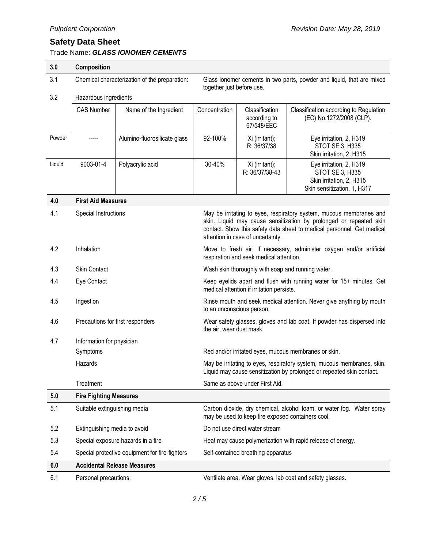Trade Name: *GLASS IONOMER CEMENTS*

**6.0 Accidental Release Measures**

| 3.0    | Composition                                                                                                                   |                                                |                                                                                                                            |                                                                                                                                                                                                                                                          |                                                                                                       |  |
|--------|-------------------------------------------------------------------------------------------------------------------------------|------------------------------------------------|----------------------------------------------------------------------------------------------------------------------------|----------------------------------------------------------------------------------------------------------------------------------------------------------------------------------------------------------------------------------------------------------|-------------------------------------------------------------------------------------------------------|--|
| 3.1    | Chemical characterization of the preparation:                                                                                 |                                                |                                                                                                                            | Glass ionomer cements in two parts, powder and liquid, that are mixed<br>together just before use.                                                                                                                                                       |                                                                                                       |  |
| 3.2    | Hazardous ingredients                                                                                                         |                                                |                                                                                                                            |                                                                                                                                                                                                                                                          |                                                                                                       |  |
|        | <b>CAS Number</b>                                                                                                             | Name of the Ingredient                         | Concentration                                                                                                              | Classification<br>according to<br>67/548/EEC                                                                                                                                                                                                             | Classification according to Regulation<br>(EC) No.1272/2008 (CLP).                                    |  |
| Powder |                                                                                                                               | Alumino-fluorosilicate glass                   | 92-100%                                                                                                                    | Xi (irritant);<br>R: 36/37/38                                                                                                                                                                                                                            | Eye irritation, 2, H319<br>STOT SE 3, H335<br>Skin irritation, 2, H315                                |  |
| Liquid | 9003-01-4                                                                                                                     | Polyacrylic acid                               | 30-40%                                                                                                                     | Xi (irritant);<br>R: 36/37/38-43                                                                                                                                                                                                                         | Eye irritation, 2, H319<br>STOT SE 3, H335<br>Skin irritation, 2, H315<br>Skin sensitization, 1, H317 |  |
| 4.0    | <b>First Aid Measures</b>                                                                                                     |                                                |                                                                                                                            |                                                                                                                                                                                                                                                          |                                                                                                       |  |
| 4.1    | Special Instructions                                                                                                          |                                                |                                                                                                                            | May be irritating to eyes, respiratory system, mucous membranes and<br>skin. Liquid may cause sensitization by prolonged or repeated skin<br>contact. Show this safety data sheet to medical personnel. Get medical<br>attention in case of uncertainty. |                                                                                                       |  |
| 4.2    | Inhalation<br>Move to fresh air. If necessary, administer oxygen and/or artificial<br>respiration and seek medical attention. |                                                |                                                                                                                            |                                                                                                                                                                                                                                                          |                                                                                                       |  |
| 4.3    | <b>Skin Contact</b>                                                                                                           |                                                | Wash skin thoroughly with soap and running water.                                                                          |                                                                                                                                                                                                                                                          |                                                                                                       |  |
| 4.4    | Eye Contact                                                                                                                   |                                                | Keep eyelids apart and flush with running water for 15+ minutes. Get<br>medical attention if irritation persists.          |                                                                                                                                                                                                                                                          |                                                                                                       |  |
| 4.5    | Ingestion                                                                                                                     |                                                |                                                                                                                            | Rinse mouth and seek medical attention. Never give anything by mouth<br>to an unconscious person.                                                                                                                                                        |                                                                                                       |  |
| 4.6    | Precautions for first responders                                                                                              |                                                |                                                                                                                            | Wear safety glasses, gloves and lab coat. If powder has dispersed into<br>the air, wear dust mask.                                                                                                                                                       |                                                                                                       |  |
| 4.7    | Information for physician                                                                                                     |                                                |                                                                                                                            |                                                                                                                                                                                                                                                          |                                                                                                       |  |
|        | Symptoms                                                                                                                      |                                                | Red and/or irritated eyes, mucous membranes or skin.                                                                       |                                                                                                                                                                                                                                                          |                                                                                                       |  |
|        | Hazards                                                                                                                       |                                                |                                                                                                                            | May be irritating to eyes, respiratory system, mucous membranes, skin.<br>Liquid may cause sensitization by prolonged or repeated skin contact.                                                                                                          |                                                                                                       |  |
|        | Treatment<br>Same as above under First Aid.                                                                                   |                                                |                                                                                                                            |                                                                                                                                                                                                                                                          |                                                                                                       |  |
| 5.0    | <b>Fire Fighting Measures</b>                                                                                                 |                                                |                                                                                                                            |                                                                                                                                                                                                                                                          |                                                                                                       |  |
| 5.1    | Suitable extinguishing media                                                                                                  |                                                | Carbon dioxide, dry chemical, alcohol foam, or water fog. Water spray<br>may be used to keep fire exposed containers cool. |                                                                                                                                                                                                                                                          |                                                                                                       |  |
| 5.2    | Extinguishing media to avoid                                                                                                  |                                                | Do not use direct water stream                                                                                             |                                                                                                                                                                                                                                                          |                                                                                                       |  |
| 5.3    |                                                                                                                               | Special exposure hazards in a fire             | Heat may cause polymerization with rapid release of energy.                                                                |                                                                                                                                                                                                                                                          |                                                                                                       |  |
| 5.4    |                                                                                                                               | Special protective equipment for fire-fighters |                                                                                                                            | Self-contained breathing apparatus                                                                                                                                                                                                                       |                                                                                                       |  |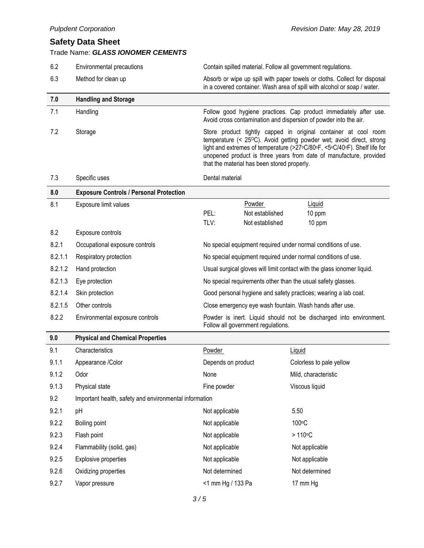|         | <b>Pulpdent Corporation</b>                                   | Revision Date: May 28, 2019                                                                                                                                                                                                                                                                                                               |                                                                         |                                                                                                                                                       |  |
|---------|---------------------------------------------------------------|-------------------------------------------------------------------------------------------------------------------------------------------------------------------------------------------------------------------------------------------------------------------------------------------------------------------------------------------|-------------------------------------------------------------------------|-------------------------------------------------------------------------------------------------------------------------------------------------------|--|
|         | <b>Safety Data Sheet</b><br>Trade Name: GLASS IONOMER CEMENTS |                                                                                                                                                                                                                                                                                                                                           |                                                                         |                                                                                                                                                       |  |
| 6.2     | Environmental precautions                                     | Contain spilled material. Follow all government regulations.                                                                                                                                                                                                                                                                              |                                                                         |                                                                                                                                                       |  |
| 6.3     | Method for clean up                                           |                                                                                                                                                                                                                                                                                                                                           |                                                                         | Absorb or wipe up spill with paper towels or cloths. Collect for disposal<br>in a covered container. Wash area of spill with alcohol or soap / water. |  |
| 7.0     | <b>Handling and Storage</b>                                   |                                                                                                                                                                                                                                                                                                                                           |                                                                         |                                                                                                                                                       |  |
| 7.1     | Handling                                                      |                                                                                                                                                                                                                                                                                                                                           |                                                                         | Follow good hygiene practices. Cap product immediately after use.<br>Avoid cross contamination and dispersion of powder into the air.                 |  |
| 7.2     | Storage                                                       | Store product tightly capped in original container at cool room<br>temperature (< 25°C). Avoid getting powder wet; avoid direct, strong<br>light and extremes of temperature (>27°C/80°F, <5°C/40°F). Shelf life for<br>unopened product is three years from date of manufacture, provided<br>that the material has been stored properly. |                                                                         |                                                                                                                                                       |  |
| 7.3     | Specific uses                                                 | Dental material                                                                                                                                                                                                                                                                                                                           |                                                                         |                                                                                                                                                       |  |
| 8.0     | <b>Exposure Controls / Personal Protection</b>                |                                                                                                                                                                                                                                                                                                                                           |                                                                         |                                                                                                                                                       |  |
| 8.1     | Exposure limit values                                         | Powder<br>PEL:<br>Not established<br>TLV:<br>Not established                                                                                                                                                                                                                                                                              |                                                                         | Liquid<br>10 ppm<br>10 ppm                                                                                                                            |  |
| 8.2     | Exposure controls                                             |                                                                                                                                                                                                                                                                                                                                           |                                                                         |                                                                                                                                                       |  |
| 8.2.1   | Occupational exposure controls                                | No special equipment required under normal conditions of use.                                                                                                                                                                                                                                                                             |                                                                         |                                                                                                                                                       |  |
| 8.2.1.1 | Respiratory protection                                        | No special equipment required under normal conditions of use.                                                                                                                                                                                                                                                                             |                                                                         |                                                                                                                                                       |  |
| 8.2.1.2 | Hand protection                                               |                                                                                                                                                                                                                                                                                                                                           | Usual surgical gloves will limit contact with the glass ionomer liquid. |                                                                                                                                                       |  |
| 8.2.1.3 | Eye protection                                                | No special requirements other than the usual safety glasses.                                                                                                                                                                                                                                                                              |                                                                         |                                                                                                                                                       |  |
| 8.2.1.4 | Skin protection                                               | Good personal hygiene and safety practices; wearing a lab coat.                                                                                                                                                                                                                                                                           |                                                                         |                                                                                                                                                       |  |
| 8.2.1.5 | Other controls                                                |                                                                                                                                                                                                                                                                                                                                           | Close emergency eye wash fountain. Wash hands after use.                |                                                                                                                                                       |  |
| 8.2.2   | Environmental exposure controls                               | Powder is inert. Liquid should not be discharged into environment.<br>Follow all government regulations.                                                                                                                                                                                                                                  |                                                                         |                                                                                                                                                       |  |
| 9.0     | <b>Physical and Chemical Properties</b>                       |                                                                                                                                                                                                                                                                                                                                           |                                                                         |                                                                                                                                                       |  |
| 9.1     | Characteristics                                               | <b>Powder</b>                                                                                                                                                                                                                                                                                                                             |                                                                         | Liquid                                                                                                                                                |  |
| 9.1.1   | Appearance /Color                                             | Depends on product                                                                                                                                                                                                                                                                                                                        |                                                                         | Colorless to pale yellow                                                                                                                              |  |
| 9.1.2   | Odor                                                          | None                                                                                                                                                                                                                                                                                                                                      |                                                                         | Mild, characteristic                                                                                                                                  |  |
| 9.1.3   | Physical state                                                | Fine powder                                                                                                                                                                                                                                                                                                                               |                                                                         | Viscous liquid                                                                                                                                        |  |
| 9.2     | Important health, safety and environmental information        |                                                                                                                                                                                                                                                                                                                                           |                                                                         |                                                                                                                                                       |  |
| 9.2.1   | pH                                                            | Not applicable                                                                                                                                                                                                                                                                                                                            |                                                                         | 5.50                                                                                                                                                  |  |
| 9.2.2   | Boiling point                                                 | Not applicable                                                                                                                                                                                                                                                                                                                            |                                                                         | 100°C                                                                                                                                                 |  |
| 9.2.3   | Flash point                                                   | Not applicable                                                                                                                                                                                                                                                                                                                            |                                                                         | $>110^{\circ}C$                                                                                                                                       |  |
| 9.2.4   | Flammability (solid, gas)                                     | Not applicable                                                                                                                                                                                                                                                                                                                            |                                                                         | Not applicable                                                                                                                                        |  |
| 9.2.5   | Explosive properties                                          | Not applicable                                                                                                                                                                                                                                                                                                                            |                                                                         | Not applicable                                                                                                                                        |  |
| 9.2.6   | Oxidizing properties                                          | Not determined                                                                                                                                                                                                                                                                                                                            |                                                                         | Not determined                                                                                                                                        |  |
| 9.2.7   | Vapor pressure                                                | <1 mm Hg / 133 Pa                                                                                                                                                                                                                                                                                                                         |                                                                         | 17 mm Hg                                                                                                                                              |  |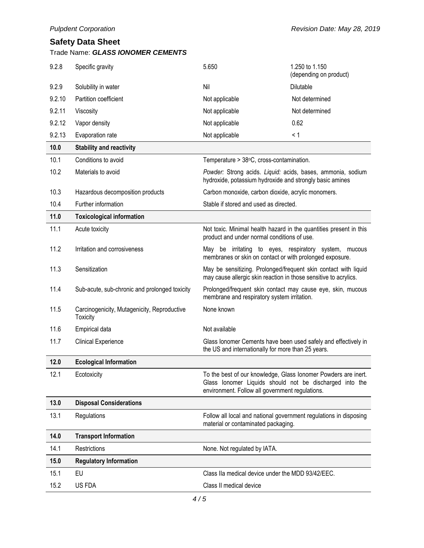| Trade Name: GLASS IONOMER CEMENTS |  |
|-----------------------------------|--|
|-----------------------------------|--|

| 9.2.8  | Specific gravity                                               | 5.650                                                                                                                   | 1.250 to 1.150<br>(depending on product)                                                                                  |
|--------|----------------------------------------------------------------|-------------------------------------------------------------------------------------------------------------------------|---------------------------------------------------------------------------------------------------------------------------|
| 9.2.9  | Solubility in water                                            | Nil                                                                                                                     | Dilutable                                                                                                                 |
| 9.2.10 | Partition coefficient                                          | Not applicable                                                                                                          | Not determined                                                                                                            |
| 9.2.11 | Viscosity                                                      | Not applicable                                                                                                          | Not determined                                                                                                            |
| 9.2.12 | Vapor density                                                  | Not applicable                                                                                                          | 0.62                                                                                                                      |
| 9.2.13 | Evaporation rate                                               | Not applicable                                                                                                          | < 1                                                                                                                       |
| 10.0   | <b>Stability and reactivity</b>                                |                                                                                                                         |                                                                                                                           |
| 10.1   | Conditions to avoid                                            | Temperature > 38°C, cross-contamination.                                                                                |                                                                                                                           |
| 10.2   | Materials to avoid                                             | Powder: Strong acids. Liquid: acids, bases, ammonia, sodium<br>hydroxide, potassium hydroxide and strongly basic amines |                                                                                                                           |
| 10.3   | Hazardous decomposition products                               | Carbon monoxide, carbon dioxide, acrylic monomers.                                                                      |                                                                                                                           |
| 10.4   | Further information                                            | Stable if stored and used as directed.                                                                                  |                                                                                                                           |
| 11.0   | <b>Toxicological information</b>                               |                                                                                                                         |                                                                                                                           |
| 11.1   | Acute toxicity                                                 | product and under normal conditions of use.                                                                             | Not toxic. Minimal health hazard in the quantities present in this                                                        |
| 11.2   | Irritation and corrosiveness                                   | membranes or skin on contact or with prolonged exposure.                                                                | May be irritating to eyes, respiratory system, mucous                                                                     |
| 11.3   | Sensitization                                                  | may cause allergic skin reaction in those sensitive to acrylics.                                                        | May be sensitizing. Prolonged/frequent skin contact with liquid                                                           |
| 11.4   | Sub-acute, sub-chronic and prolonged toxicity                  | membrane and respiratory system irritation.                                                                             | Prolonged/frequent skin contact may cause eye, skin, mucous                                                               |
| 11.5   | Carcinogenicity, Mutagenicity, Reproductive<br><b>Toxicity</b> | None known                                                                                                              |                                                                                                                           |
| 11.6   | Empirical data                                                 | Not available                                                                                                           |                                                                                                                           |
| 11.7   | <b>Clinical Experience</b>                                     | the US and internationally for more than 25 years.                                                                      | Glass lonomer Cements have been used safely and effectively in                                                            |
| 12.0   | <b>Ecological Information</b>                                  |                                                                                                                         |                                                                                                                           |
| 12.1   | Ecotoxicity                                                    | environment. Follow all government regulations.                                                                         | To the best of our knowledge, Glass lonomer Powders are inert.<br>Glass lonomer Liquids should not be discharged into the |
| 13.0   | <b>Disposal Considerations</b>                                 |                                                                                                                         |                                                                                                                           |
| 13.1   | Regulations                                                    | material or contaminated packaging.                                                                                     | Follow all local and national government regulations in disposing                                                         |
| 14.0   | <b>Transport Information</b>                                   |                                                                                                                         |                                                                                                                           |
| 14.1   | Restrictions                                                   | None. Not regulated by IATA.                                                                                            |                                                                                                                           |
| 15.0   | <b>Regulatory Information</b>                                  |                                                                                                                         |                                                                                                                           |
| 15.1   | EU                                                             | Class IIa medical device under the MDD 93/42/EEC.                                                                       |                                                                                                                           |
| 15.2   | US FDA                                                         | Class II medical device                                                                                                 |                                                                                                                           |
|        |                                                                |                                                                                                                         |                                                                                                                           |